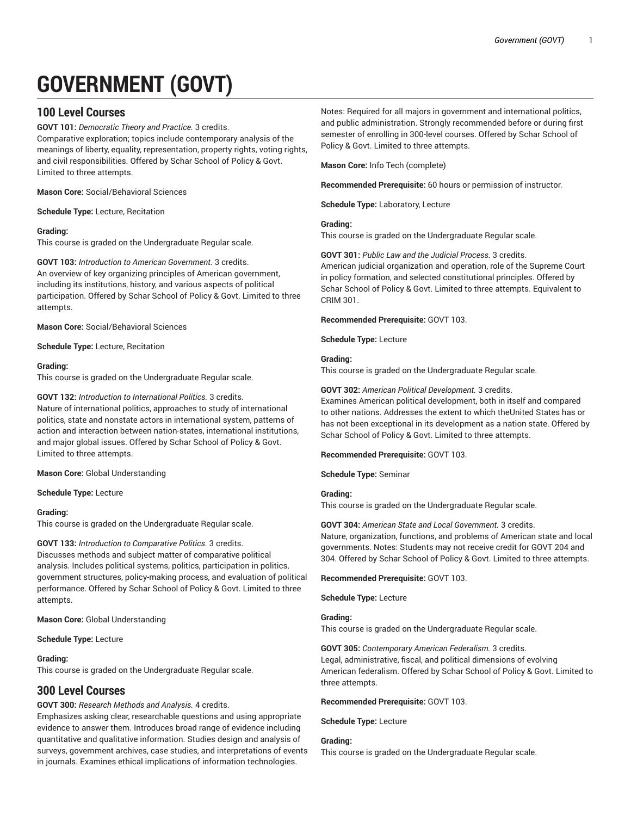# **GOVERNMENT (GOVT)**

# **100 Level Courses**

**GOVT 101:** *Democratic Theory and Practice.* 3 credits.

Comparative exploration; topics include contemporary analysis of the meanings of liberty, equality, representation, property rights, voting rights, and civil responsibilities. Offered by Schar School of Policy & Govt. Limited to three attempts.

**Mason Core:** Social/Behavioral Sciences

**Schedule Type:** Lecture, Recitation

## **Grading:**

This course is graded on the Undergraduate Regular scale.

**GOVT 103:** *Introduction to American Government.* 3 credits. An overview of key organizing principles of American government, including its institutions, history, and various aspects of political participation. Offered by Schar School of Policy & Govt. Limited to three attempts.

**Mason Core:** Social/Behavioral Sciences

**Schedule Type:** Lecture, Recitation

#### **Grading:**

This course is graded on the Undergraduate Regular scale.

#### **GOVT 132:** *Introduction to International Politics.* 3 credits.

Nature of international politics, approaches to study of international politics, state and nonstate actors in international system, patterns of action and interaction between nation-states, international institutions, and major global issues. Offered by Schar School of Policy & Govt. Limited to three attempts.

**Mason Core:** Global Understanding

## **Schedule Type:** Lecture

## **Grading:**

This course is graded on the Undergraduate Regular scale.

## **GOVT 133:** *Introduction to Comparative Politics.* 3 credits.

Discusses methods and subject matter of comparative political analysis. Includes political systems, politics, participation in politics, government structures, policy-making process, and evaluation of political performance. Offered by Schar School of Policy & Govt. Limited to three attempts.

**Mason Core:** Global Understanding

**Schedule Type:** Lecture

## **Grading:**

This course is graded on the Undergraduate Regular scale.

# **300 Level Courses**

**GOVT 300:** *Research Methods and Analysis.* 4 credits.

Emphasizes asking clear, researchable questions and using appropriate evidence to answer them. Introduces broad range of evidence including quantitative and qualitative information. Studies design and analysis of surveys, government archives, case studies, and interpretations of events in journals. Examines ethical implications of information technologies.

Notes: Required for all majors in government and international politics, and public administration. Strongly recommended before or during first semester of enrolling in 300-level courses. Offered by Schar School of Policy & Govt. Limited to three attempts.

**Mason Core:** Info Tech (complete)

**Recommended Prerequisite:** 60 hours or permission of instructor.

**Schedule Type:** Laboratory, Lecture

#### **Grading:**

This course is graded on the Undergraduate Regular scale.

**GOVT 301:** *Public Law and the Judicial Process.* 3 credits. American judicial organization and operation, role of the Supreme Court in policy formation, and selected constitutional principles. Offered by Schar School of Policy & Govt. Limited to three attempts. Equivalent to CRIM 301.

#### **Recommended Prerequisite:** GOVT 103.

**Schedule Type:** Lecture

## **Grading:**

This course is graded on the Undergraduate Regular scale.

## **GOVT 302:** *American Political Development.* 3 credits.

Examines American political development, both in itself and compared to other nations. Addresses the extent to which theUnited States has or has not been exceptional in its development as a nation state. Offered by Schar School of Policy & Govt. Limited to three attempts.

#### **Recommended Prerequisite:** GOVT 103.

**Schedule Type:** Seminar

## **Grading:**

This course is graded on the Undergraduate Regular scale.

## **GOVT 304:** *American State and Local Government.* 3 credits. Nature, organization, functions, and problems of American state and local governments. Notes: Students may not receive credit for GOVT 204 and 304. Offered by Schar School of Policy & Govt. Limited to three attempts.

**Recommended Prerequisite:** GOVT 103.

**Schedule Type:** Lecture

## **Grading:**

This course is graded on the Undergraduate Regular scale.

**GOVT 305:** *Contemporary American Federalism.* 3 credits. Legal, administrative, fiscal, and political dimensions of evolving American federalism. Offered by Schar School of Policy & Govt. Limited to three attempts.

#### **Recommended Prerequisite:** GOVT 103.

**Schedule Type:** Lecture

## **Grading:**

This course is graded on the Undergraduate Regular scale.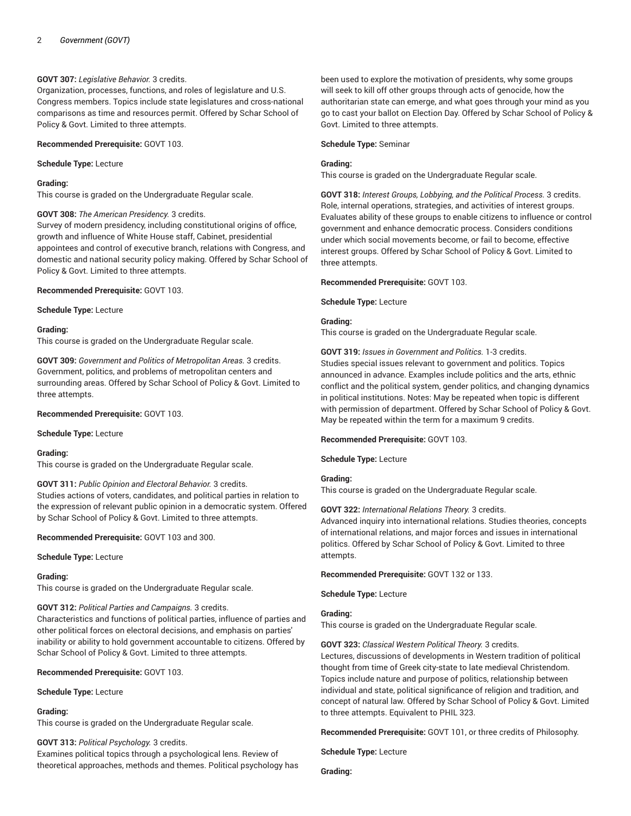## **GOVT 307:** *Legislative Behavior.* 3 credits.

Organization, processes, functions, and roles of legislature and U.S. Congress members. Topics include state legislatures and cross-national comparisons as time and resources permit. Offered by Schar School of Policy & Govt. Limited to three attempts.

#### **Recommended Prerequisite:** GOVT 103.

**Schedule Type:** Lecture

#### **Grading:**

This course is graded on the Undergraduate Regular scale.

#### **GOVT 308:** *The American Presidency.* 3 credits.

Survey of modern presidency, including constitutional origins of office, growth and influence of White House staff, Cabinet, presidential appointees and control of executive branch, relations with Congress, and domestic and national security policy making. Offered by Schar School of Policy & Govt. Limited to three attempts.

#### **Recommended Prerequisite:** GOVT 103.

**Schedule Type:** Lecture

#### **Grading:**

This course is graded on the Undergraduate Regular scale.

**GOVT 309:** *Government and Politics of Metropolitan Areas.* 3 credits. Government, politics, and problems of metropolitan centers and surrounding areas. Offered by Schar School of Policy & Govt. Limited to three attempts.

## **Recommended Prerequisite:** GOVT 103.

**Schedule Type:** Lecture

#### **Grading:**

This course is graded on the Undergraduate Regular scale.

#### **GOVT 311:** *Public Opinion and Electoral Behavior.* 3 credits.

Studies actions of voters, candidates, and political parties in relation to the expression of relevant public opinion in a democratic system. Offered by Schar School of Policy & Govt. Limited to three attempts.

#### **Recommended Prerequisite:** GOVT 103 and 300.

**Schedule Type:** Lecture

#### **Grading:**

This course is graded on the Undergraduate Regular scale.

## **GOVT 312:** *Political Parties and Campaigns.* 3 credits.

Characteristics and functions of political parties, influence of parties and other political forces on electoral decisions, and emphasis on parties' inability or ability to hold government accountable to citizens. Offered by Schar School of Policy & Govt. Limited to three attempts.

#### **Recommended Prerequisite:** GOVT 103.

#### **Schedule Type:** Lecture

#### **Grading:**

This course is graded on the Undergraduate Regular scale.

## **GOVT 313:** *Political Psychology.* 3 credits.

Examines political topics through a psychological lens. Review of theoretical approaches, methods and themes. Political psychology has

been used to explore the motivation of presidents, why some groups will seek to kill off other groups through acts of genocide, how the authoritarian state can emerge, and what goes through your mind as you go to cast your ballot on Election Day. Offered by Schar School of Policy & Govt. Limited to three attempts.

#### **Schedule Type:** Seminar

#### **Grading:**

This course is graded on the Undergraduate Regular scale.

**GOVT 318:** *Interest Groups, Lobbying, and the Political Process.* 3 credits. Role, internal operations, strategies, and activities of interest groups. Evaluates ability of these groups to enable citizens to influence or control government and enhance democratic process. Considers conditions under which social movements become, or fail to become, effective interest groups. Offered by Schar School of Policy & Govt. Limited to three attempts.

#### **Recommended Prerequisite:** GOVT 103.

**Schedule Type:** Lecture

## **Grading:**

This course is graded on the Undergraduate Regular scale.

**GOVT 319:** *Issues in Government and Politics.* 1-3 credits. Studies special issues relevant to government and politics. Topics announced in advance. Examples include politics and the arts, ethnic conflict and the political system, gender politics, and changing dynamics in political institutions. Notes: May be repeated when topic is different with permission of department. Offered by Schar School of Policy & Govt. May be repeated within the term for a maximum 9 credits.

## **Recommended Prerequisite:** GOVT 103.

**Schedule Type:** Lecture

## **Grading:**

This course is graded on the Undergraduate Regular scale.

## **GOVT 322:** *International Relations Theory.* 3 credits.

Advanced inquiry into international relations. Studies theories, concepts of international relations, and major forces and issues in international politics. Offered by Schar School of Policy & Govt. Limited to three attempts.

**Recommended Prerequisite:** GOVT 132 or 133.

**Schedule Type:** Lecture

## **Grading:**

This course is graded on the Undergraduate Regular scale.

#### **GOVT 323:** *Classical Western Political Theory.* 3 credits.

Lectures, discussions of developments in Western tradition of political thought from time of Greek city-state to late medieval Christendom. Topics include nature and purpose of politics, relationship between individual and state, political significance of religion and tradition, and concept of natural law. Offered by Schar School of Policy & Govt. Limited to three attempts. Equivalent to PHIL 323.

## **Recommended Prerequisite:** GOVT 101, or three credits of Philosophy.

**Schedule Type:** Lecture

**Grading:**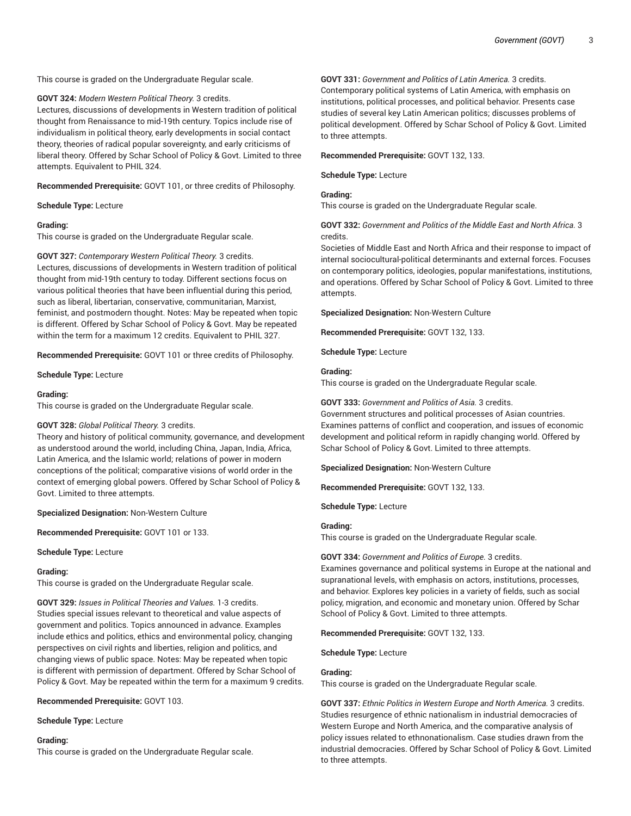This course is graded on the Undergraduate Regular scale.

**GOVT 324:** *Modern Western Political Theory.* 3 credits.

Lectures, discussions of developments in Western tradition of political thought from Renaissance to mid-19th century. Topics include rise of individualism in political theory, early developments in social contact theory, theories of radical popular sovereignty, and early criticisms of liberal theory. Offered by Schar School of Policy & Govt. Limited to three attempts. Equivalent to PHIL 324.

**Recommended Prerequisite:** GOVT 101, or three credits of Philosophy.

**Schedule Type:** Lecture

#### **Grading:**

This course is graded on the Undergraduate Regular scale.

**GOVT 327:** *Contemporary Western Political Theory.* 3 credits. Lectures, discussions of developments in Western tradition of political thought from mid-19th century to today. Different sections focus on various political theories that have been influential during this period, such as liberal, libertarian, conservative, communitarian, Marxist, feminist, and postmodern thought. Notes: May be repeated when topic is different. Offered by Schar School of Policy & Govt. May be repeated within the term for a maximum 12 credits. Equivalent to PHIL 327.

**Recommended Prerequisite:** GOVT 101 or three credits of Philosophy.

**Schedule Type:** Lecture

#### **Grading:**

This course is graded on the Undergraduate Regular scale.

## **GOVT 328:** *Global Political Theory.* 3 credits.

Theory and history of political community, governance, and development as understood around the world, including China, Japan, India, Africa, Latin America, and the Islamic world; relations of power in modern conceptions of the political; comparative visions of world order in the context of emerging global powers. Offered by Schar School of Policy & Govt. Limited to three attempts.

**Specialized Designation:** Non-Western Culture

**Recommended Prerequisite:** GOVT 101 or 133.

#### **Schedule Type:** Lecture

#### **Grading:**

This course is graded on the Undergraduate Regular scale.

**GOVT 329:** *Issues in Political Theories and Values.* 1-3 credits. Studies special issues relevant to theoretical and value aspects of government and politics. Topics announced in advance. Examples include ethics and politics, ethics and environmental policy, changing perspectives on civil rights and liberties, religion and politics, and changing views of public space. Notes: May be repeated when topic is different with permission of department. Offered by Schar School of Policy & Govt. May be repeated within the term for a maximum 9 credits.

**Recommended Prerequisite:** GOVT 103.

**Schedule Type:** Lecture

#### **Grading:**

This course is graded on the Undergraduate Regular scale.

**GOVT 331:** *Government and Politics of Latin America.* 3 credits.

Contemporary political systems of Latin America, with emphasis on institutions, political processes, and political behavior. Presents case studies of several key Latin American politics; discusses problems of political development. Offered by Schar School of Policy & Govt. Limited to three attempts.

#### **Recommended Prerequisite:** GOVT 132, 133.

**Schedule Type:** Lecture

#### **Grading:**

This course is graded on the Undergraduate Regular scale.

## **GOVT 332:** *Government and Politics of the Middle East and North Africa.* 3 credits.

Societies of Middle East and North Africa and their response to impact of internal sociocultural-political determinants and external forces. Focuses on contemporary politics, ideologies, popular manifestations, institutions, and operations. Offered by Schar School of Policy & Govt. Limited to three attempts.

**Specialized Designation:** Non-Western Culture

**Recommended Prerequisite:** GOVT 132, 133.

**Schedule Type:** Lecture

#### **Grading:**

This course is graded on the Undergraduate Regular scale.

## **GOVT 333:** *Government and Politics of Asia.* 3 credits.

Government structures and political processes of Asian countries. Examines patterns of conflict and cooperation, and issues of economic development and political reform in rapidly changing world. Offered by Schar School of Policy & Govt. Limited to three attempts.

**Specialized Designation:** Non-Western Culture

**Recommended Prerequisite:** GOVT 132, 133.

**Schedule Type:** Lecture

#### **Grading:**

This course is graded on the Undergraduate Regular scale.

#### **GOVT 334:** *Government and Politics of Europe.* 3 credits.

Examines governance and political systems in Europe at the national and supranational levels, with emphasis on actors, institutions, processes, and behavior. Explores key policies in a variety of fields, such as social policy, migration, and economic and monetary union. Offered by Schar School of Policy & Govt. Limited to three attempts.

## **Recommended Prerequisite:** GOVT 132, 133.

#### **Schedule Type:** Lecture

## **Grading:**

This course is graded on the Undergraduate Regular scale.

**GOVT 337:** *Ethnic Politics in Western Europe and North America.* 3 credits. Studies resurgence of ethnic nationalism in industrial democracies of Western Europe and North America, and the comparative analysis of policy issues related to ethnonationalism. Case studies drawn from the industrial democracies. Offered by Schar School of Policy & Govt. Limited to three attempts.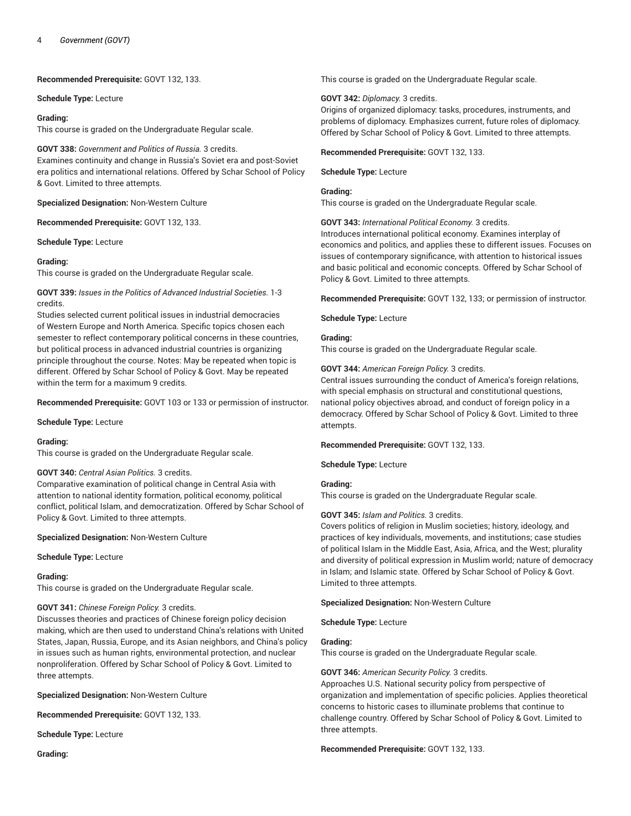**Recommended Prerequisite:** GOVT 132, 133.

**Schedule Type:** Lecture

#### **Grading:**

This course is graded on the Undergraduate Regular scale.

#### **GOVT 338:** *Government and Politics of Russia.* 3 credits.

Examines continuity and change in Russia's Soviet era and post-Soviet era politics and international relations. Offered by Schar School of Policy & Govt. Limited to three attempts.

**Specialized Designation:** Non-Western Culture

**Recommended Prerequisite:** GOVT 132, 133.

**Schedule Type:** Lecture

## **Grading:**

This course is graded on the Undergraduate Regular scale.

**GOVT 339:** *Issues in the Politics of Advanced Industrial Societies.* 1-3 credits.

Studies selected current political issues in industrial democracies of Western Europe and North America. Specific topics chosen each semester to reflect contemporary political concerns in these countries, but political process in advanced industrial countries is organizing principle throughout the course. Notes: May be repeated when topic is different. Offered by Schar School of Policy & Govt. May be repeated within the term for a maximum 9 credits.

**Recommended Prerequisite:** GOVT 103 or 133 or permission of instructor.

**Schedule Type:** Lecture

## **Grading:**

This course is graded on the Undergraduate Regular scale.

#### **GOVT 340:** *Central Asian Politics.* 3 credits.

Comparative examination of political change in Central Asia with attention to national identity formation, political economy, political conflict, political Islam, and democratization. Offered by Schar School of Policy & Govt. Limited to three attempts.

**Specialized Designation:** Non-Western Culture

**Schedule Type:** Lecture

## **Grading:**

This course is graded on the Undergraduate Regular scale.

## **GOVT 341:** *Chinese Foreign Policy.* 3 credits.

Discusses theories and practices of Chinese foreign policy decision making, which are then used to understand China's relations with United States, Japan, Russia, Europe, and its Asian neighbors, and China's policy in issues such as human rights, environmental protection, and nuclear nonproliferation. Offered by Schar School of Policy & Govt. Limited to three attempts.

**Specialized Designation:** Non-Western Culture

**Recommended Prerequisite:** GOVT 132, 133.

**Schedule Type:** Lecture

**Grading:**

This course is graded on the Undergraduate Regular scale.

#### **GOVT 342:** *Diplomacy.* 3 credits.

Origins of organized diplomacy: tasks, procedures, instruments, and problems of diplomacy. Emphasizes current, future roles of diplomacy. Offered by Schar School of Policy & Govt. Limited to three attempts.

**Recommended Prerequisite:** GOVT 132, 133.

**Schedule Type:** Lecture

#### **Grading:**

This course is graded on the Undergraduate Regular scale.

## **GOVT 343:** *International Political Economy.* 3 credits.

Introduces international political economy. Examines interplay of economics and politics, and applies these to different issues. Focuses on issues of contemporary significance, with attention to historical issues and basic political and economic concepts. Offered by Schar School of Policy & Govt. Limited to three attempts.

**Recommended Prerequisite:** GOVT 132, 133; or permission of instructor.

#### **Schedule Type:** Lecture

#### **Grading:**

This course is graded on the Undergraduate Regular scale.

**GOVT 344:** *American Foreign Policy.* 3 credits.

Central issues surrounding the conduct of America's foreign relations, with special emphasis on structural and constitutional questions, national policy objectives abroad, and conduct of foreign policy in a democracy. Offered by Schar School of Policy & Govt. Limited to three attempts.

**Recommended Prerequisite:** GOVT 132, 133.

**Schedule Type:** Lecture

## **Grading:**

This course is graded on the Undergraduate Regular scale.

## **GOVT 345:** *Islam and Politics.* 3 credits.

Covers politics of religion in Muslim societies; history, ideology, and practices of key individuals, movements, and institutions; case studies of political Islam in the Middle East, Asia, Africa, and the West; plurality and diversity of political expression in Muslim world; nature of democracy in Islam; and Islamic state. Offered by Schar School of Policy & Govt. Limited to three attempts.

#### **Specialized Designation:** Non-Western Culture

**Schedule Type:** Lecture

## **Grading:**

This course is graded on the Undergraduate Regular scale.

## **GOVT 346:** *American Security Policy.* 3 credits.

Approaches U.S. National security policy from perspective of organization and implementation of specific policies. Applies theoretical concerns to historic cases to illuminate problems that continue to challenge country. Offered by Schar School of Policy & Govt. Limited to three attempts.

**Recommended Prerequisite:** GOVT 132, 133.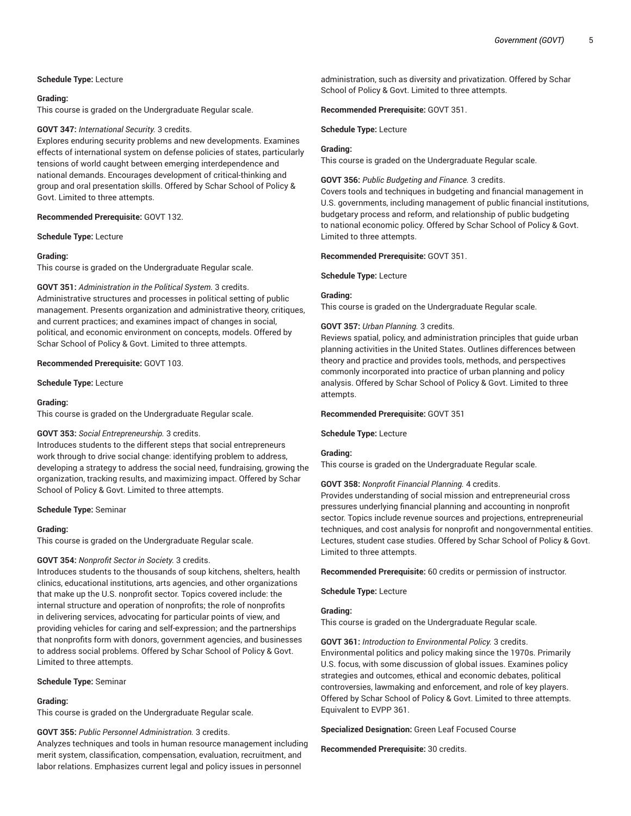#### **Schedule Type:** Lecture

#### **Grading:**

This course is graded on the Undergraduate Regular scale.

#### **GOVT 347:** *International Security.* 3 credits.

Explores enduring security problems and new developments. Examines effects of international system on defense policies of states, particularly tensions of world caught between emerging interdependence and national demands. Encourages development of critical-thinking and group and oral presentation skills. Offered by Schar School of Policy & Govt. Limited to three attempts.

#### **Recommended Prerequisite:** GOVT 132.

#### **Schedule Type:** Lecture

## **Grading:**

This course is graded on the Undergraduate Regular scale.

## **GOVT 351:** *Administration in the Political System.* 3 credits. Administrative structures and processes in political setting of public management. Presents organization and administrative theory, critiques, and current practices; and examines impact of changes in social, political, and economic environment on concepts, models. Offered by Schar School of Policy & Govt. Limited to three attempts.

## **Recommended Prerequisite:** GOVT 103.

**Schedule Type:** Lecture

#### **Grading:**

This course is graded on the Undergraduate Regular scale.

## **GOVT 353:** *Social Entrepreneurship.* 3 credits.

Introduces students to the different steps that social entrepreneurs work through to drive social change: identifying problem to address, developing a strategy to address the social need, fundraising, growing the organization, tracking results, and maximizing impact. Offered by Schar School of Policy & Govt. Limited to three attempts.

#### **Schedule Type:** Seminar

## **Grading:**

This course is graded on the Undergraduate Regular scale.

#### **GOVT 354:** *Nonprofit Sector in Society.* 3 credits.

Introduces students to the thousands of soup kitchens, shelters, health clinics, educational institutions, arts agencies, and other organizations that make up the U.S. nonprofit sector. Topics covered include: the internal structure and operation of nonprofits; the role of nonprofits in delivering services, advocating for particular points of view, and providing vehicles for caring and self-expression; and the partnerships that nonprofits form with donors, government agencies, and businesses to address social problems. Offered by Schar School of Policy & Govt. Limited to three attempts.

#### **Schedule Type:** Seminar

#### **Grading:**

This course is graded on the Undergraduate Regular scale.

#### **GOVT 355:** *Public Personnel Administration.* 3 credits.

Analyzes techniques and tools in human resource management including merit system, classification, compensation, evaluation, recruitment, and labor relations. Emphasizes current legal and policy issues in personnel

administration, such as diversity and privatization. Offered by Schar School of Policy & Govt. Limited to three attempts.

**Recommended Prerequisite:** GOVT 351.

**Schedule Type:** Lecture

#### **Grading:**

This course is graded on the Undergraduate Regular scale.

## **GOVT 356:** *Public Budgeting and Finance.* 3 credits.

Covers tools and techniques in budgeting and financial management in U.S. governments, including management of public financial institutions, budgetary process and reform, and relationship of public budgeting to national economic policy. Offered by Schar School of Policy & Govt. Limited to three attempts.

#### **Recommended Prerequisite:** GOVT 351.

#### **Schedule Type:** Lecture

## **Grading:**

This course is graded on the Undergraduate Regular scale.

#### **GOVT 357:** *Urban Planning.* 3 credits.

Reviews spatial, policy, and administration principles that guide urban planning activities in the United States. Outlines differences between theory and practice and provides tools, methods, and perspectives commonly incorporated into practice of urban planning and policy analysis. Offered by Schar School of Policy & Govt. Limited to three attempts.

#### **Recommended Prerequisite:** GOVT 351

**Schedule Type:** Lecture

#### **Grading:**

This course is graded on the Undergraduate Regular scale.

#### **GOVT 358:** *Nonprofit Financial Planning.* 4 credits.

Provides understanding of social mission and entrepreneurial cross pressures underlying financial planning and accounting in nonprofit sector. Topics include revenue sources and projections, entrepreneurial techniques, and cost analysis for nonprofit and nongovernmental entities. Lectures, student case studies. Offered by Schar School of Policy & Govt. Limited to three attempts.

**Recommended Prerequisite:** 60 credits or permission of instructor.

**Schedule Type:** Lecture

## **Grading:**

This course is graded on the Undergraduate Regular scale.

**GOVT 361:** *Introduction to Environmental Policy.* 3 credits. Environmental politics and policy making since the 1970s. Primarily U.S. focus, with some discussion of global issues. Examines policy strategies and outcomes, ethical and economic debates, political controversies, lawmaking and enforcement, and role of key players. Offered by Schar School of Policy & Govt. Limited to three attempts. Equivalent to EVPP 361.

## **Specialized Designation:** Green Leaf Focused Course

**Recommended Prerequisite:** 30 credits.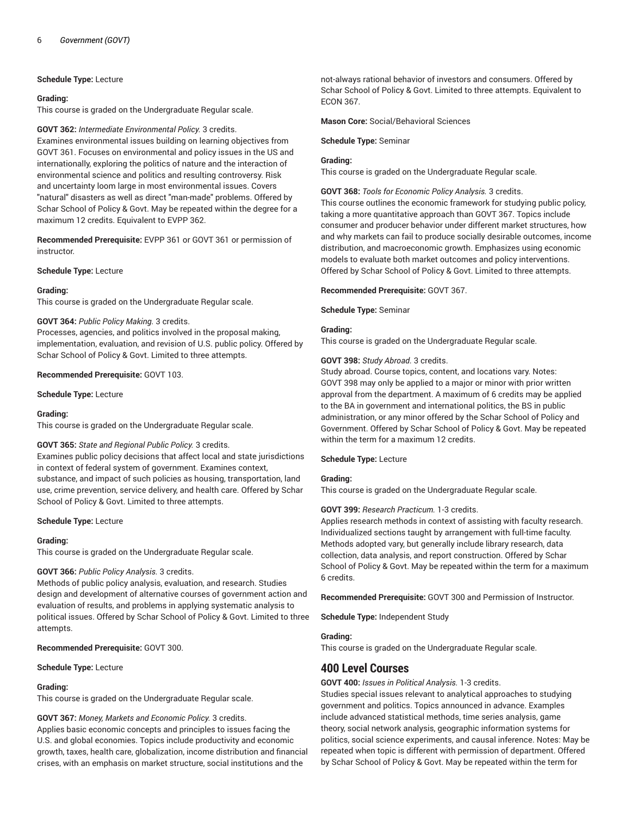## **Schedule Type:** Lecture

#### **Grading:**

This course is graded on the Undergraduate Regular scale.

## **GOVT 362:** *Intermediate Environmental Policy.* 3 credits.

Examines environmental issues building on learning objectives from GOVT 361. Focuses on environmental and policy issues in the US and internationally, exploring the politics of nature and the interaction of environmental science and politics and resulting controversy. Risk and uncertainty loom large in most environmental issues. Covers "natural" disasters as well as direct "man-made" problems. Offered by Schar School of Policy & Govt. May be repeated within the degree for a maximum 12 credits. Equivalent to EVPP 362.

**Recommended Prerequisite:** EVPP 361 or GOVT 361 or permission of instructor.

#### **Schedule Type:** Lecture

#### **Grading:**

This course is graded on the Undergraduate Regular scale.

#### **GOVT 364:** *Public Policy Making.* 3 credits.

Processes, agencies, and politics involved in the proposal making, implementation, evaluation, and revision of U.S. public policy. Offered by Schar School of Policy & Govt. Limited to three attempts.

#### **Recommended Prerequisite:** GOVT 103.

**Schedule Type:** Lecture

#### **Grading:**

This course is graded on the Undergraduate Regular scale.

## **GOVT 365:** *State and Regional Public Policy.* 3 credits.

Examines public policy decisions that affect local and state jurisdictions in context of federal system of government. Examines context, substance, and impact of such policies as housing, transportation, land use, crime prevention, service delivery, and health care. Offered by Schar School of Policy & Govt. Limited to three attempts.

#### **Schedule Type:** Lecture

#### **Grading:**

This course is graded on the Undergraduate Regular scale.

## **GOVT 366:** *Public Policy Analysis.* 3 credits.

Methods of public policy analysis, evaluation, and research. Studies design and development of alternative courses of government action and evaluation of results, and problems in applying systematic analysis to political issues. Offered by Schar School of Policy & Govt. Limited to three attempts.

## **Recommended Prerequisite:** GOVT 300.

**Schedule Type:** Lecture

## **Grading:**

This course is graded on the Undergraduate Regular scale.

## **GOVT 367:** *Money, Markets and Economic Policy.* 3 credits.

Applies basic economic concepts and principles to issues facing the U.S. and global economies. Topics include productivity and economic growth, taxes, health care, globalization, income distribution and financial crises, with an emphasis on market structure, social institutions and the

not-always rational behavior of investors and consumers. Offered by Schar School of Policy & Govt. Limited to three attempts. Equivalent to ECON 367.

#### **Mason Core:** Social/Behavioral Sciences

**Schedule Type:** Seminar

#### **Grading:**

This course is graded on the Undergraduate Regular scale.

#### **GOVT 368:** *Tools for Economic Policy Analysis.* 3 credits.

This course outlines the economic framework for studying public policy, taking a more quantitative approach than GOVT 367. Topics include consumer and producer behavior under different market structures, how and why markets can fail to produce socially desirable outcomes, income distribution, and macroeconomic growth. Emphasizes using economic models to evaluate both market outcomes and policy interventions. Offered by Schar School of Policy & Govt. Limited to three attempts.

#### **Recommended Prerequisite:** GOVT 367.

#### **Schedule Type:** Seminar

## **Grading:**

This course is graded on the Undergraduate Regular scale.

#### **GOVT 398:** *Study Abroad.* 3 credits.

Study abroad. Course topics, content, and locations vary. Notes: GOVT 398 may only be applied to a major or minor with prior written approval from the department. A maximum of 6 credits may be applied to the BA in government and international politics, the BS in public administration, or any minor offered by the Schar School of Policy and Government. Offered by Schar School of Policy & Govt. May be repeated within the term for a maximum 12 credits.

#### **Schedule Type:** Lecture

## **Grading:**

This course is graded on the Undergraduate Regular scale.

## **GOVT 399:** *Research Practicum.* 1-3 credits.

Applies research methods in context of assisting with faculty research. Individualized sections taught by arrangement with full-time faculty. Methods adopted vary, but generally include library research, data collection, data analysis, and report construction. Offered by Schar School of Policy & Govt. May be repeated within the term for a maximum 6 credits.

**Recommended Prerequisite:** GOVT 300 and Permission of Instructor.

**Schedule Type:** Independent Study

#### **Grading:**

This course is graded on the Undergraduate Regular scale.

# **400 Level Courses**

## **GOVT 400:** *Issues in Political Analysis.* 1-3 credits.

Studies special issues relevant to analytical approaches to studying government and politics. Topics announced in advance. Examples include advanced statistical methods, time series analysis, game theory, social network analysis, geographic information systems for politics, social science experiments, and causal inference. Notes: May be repeated when topic is different with permission of department. Offered by Schar School of Policy & Govt. May be repeated within the term for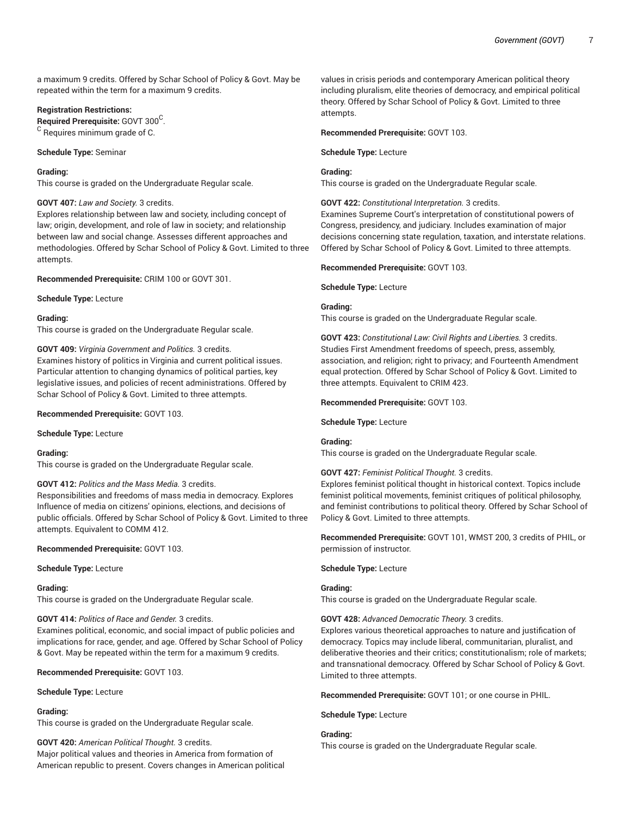a maximum 9 credits. Offered by Schar School of Policy & Govt. May be repeated within the term for a maximum 9 credits.

#### **Registration Restrictions:**

**Required Prerequisite:** GOVT 300 C . <sup>C</sup> Requires minimum grade of C.

**Schedule Type:** Seminar

#### **Grading:**

This course is graded on the Undergraduate Regular scale.

#### **GOVT 407:** *Law and Society.* 3 credits.

Explores relationship between law and society, including concept of law; origin, development, and role of law in society; and relationship between law and social change. Assesses different approaches and methodologies. Offered by Schar School of Policy & Govt. Limited to three attempts.

**Recommended Prerequisite:** CRIM 100 or GOVT 301.

**Schedule Type:** Lecture

#### **Grading:**

This course is graded on the Undergraduate Regular scale.

## **GOVT 409:** *Virginia Government and Politics.* 3 credits.

Examines history of politics in Virginia and current political issues. Particular attention to changing dynamics of political parties, key legislative issues, and policies of recent administrations. Offered by Schar School of Policy & Govt. Limited to three attempts.

#### **Recommended Prerequisite:** GOVT 103.

**Schedule Type:** Lecture

#### **Grading:**

This course is graded on the Undergraduate Regular scale.

## **GOVT 412:** *Politics and the Mass Media.* 3 credits.

Responsibilities and freedoms of mass media in democracy. Explores Influence of media on citizens' opinions, elections, and decisions of public officials. Offered by Schar School of Policy & Govt. Limited to three attempts. Equivalent to COMM 412.

## **Recommended Prerequisite:** GOVT 103.

**Schedule Type:** Lecture

#### **Grading:**

This course is graded on the Undergraduate Regular scale.

## **GOVT 414:** *Politics of Race and Gender.* 3 credits.

Examines political, economic, and social impact of public policies and implications for race, gender, and age. Offered by Schar School of Policy & Govt. May be repeated within the term for a maximum 9 credits.

#### **Recommended Prerequisite:** GOVT 103.

**Schedule Type:** Lecture

#### **Grading:**

This course is graded on the Undergraduate Regular scale.

## **GOVT 420:** *American Political Thought.* 3 credits.

Major political values and theories in America from formation of American republic to present. Covers changes in American political

values in crisis periods and contemporary American political theory including pluralism, elite theories of democracy, and empirical political theory. Offered by Schar School of Policy & Govt. Limited to three attempts.

#### **Recommended Prerequisite:** GOVT 103.

**Schedule Type:** Lecture

## **Grading:**

This course is graded on the Undergraduate Regular scale.

#### **GOVT 422:** *Constitutional Interpretation.* 3 credits.

Examines Supreme Court's interpretation of constitutional powers of Congress, presidency, and judiciary. Includes examination of major decisions concerning state regulation, taxation, and interstate relations. Offered by Schar School of Policy & Govt. Limited to three attempts.

## **Recommended Prerequisite:** GOVT 103.

**Schedule Type:** Lecture

## **Grading:**

This course is graded on the Undergraduate Regular scale.

**GOVT 423:** *Constitutional Law: Civil Rights and Liberties.* 3 credits. Studies First Amendment freedoms of speech, press, assembly, association, and religion; right to privacy; and Fourteenth Amendment equal protection. Offered by Schar School of Policy & Govt. Limited to three attempts. Equivalent to CRIM 423.

## **Recommended Prerequisite:** GOVT 103.

**Schedule Type:** Lecture

#### **Grading:**

This course is graded on the Undergraduate Regular scale.

## **GOVT 427:** *Feminist Political Thought.* 3 credits.

Explores feminist political thought in historical context. Topics include feminist political movements, feminist critiques of political philosophy, and feminist contributions to political theory. Offered by Schar School of Policy & Govt. Limited to three attempts.

**Recommended Prerequisite:** GOVT 101, WMST 200, 3 credits of PHIL, or permission of instructor.

#### **Schedule Type:** Lecture

## **Grading:**

This course is graded on the Undergraduate Regular scale.

## **GOVT 428:** *Advanced Democratic Theory.* 3 credits.

Explores various theoretical approaches to nature and justification of democracy. Topics may include liberal, communitarian, pluralist, and deliberative theories and their critics; constitutionalism; role of markets; and transnational democracy. Offered by Schar School of Policy & Govt. Limited to three attempts.

**Recommended Prerequisite:** GOVT 101; or one course in PHIL.

**Schedule Type:** Lecture

## **Grading:**

This course is graded on the Undergraduate Regular scale.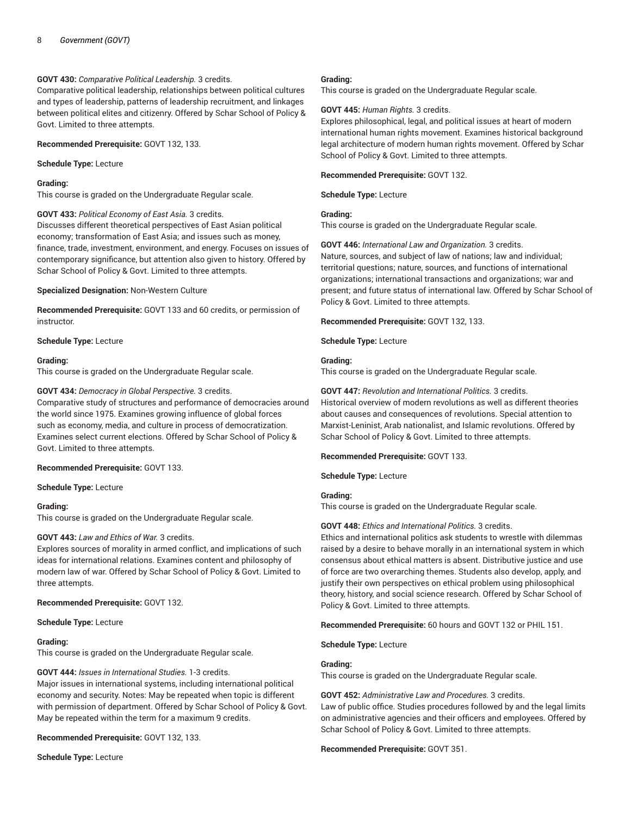## **GOVT 430:** *Comparative Political Leadership.* 3 credits.

Comparative political leadership, relationships between political cultures and types of leadership, patterns of leadership recruitment, and linkages between political elites and citizenry. Offered by Schar School of Policy & Govt. Limited to three attempts.

**Recommended Prerequisite:** GOVT 132, 133.

**Schedule Type:** Lecture

#### **Grading:**

This course is graded on the Undergraduate Regular scale.

#### **GOVT 433:** *Political Economy of East Asia.* 3 credits.

Discusses different theoretical perspectives of East Asian political economy; transformation of East Asia; and issues such as money, finance, trade, investment, environment, and energy. Focuses on issues of contemporary significance, but attention also given to history. Offered by Schar School of Policy & Govt. Limited to three attempts.

#### **Specialized Designation:** Non-Western Culture

**Recommended Prerequisite:** GOVT 133 and 60 credits, or permission of instructor.

**Schedule Type:** Lecture

#### **Grading:**

This course is graded on the Undergraduate Regular scale.

## **GOVT 434:** *Democracy in Global Perspective.* 3 credits.

Comparative study of structures and performance of democracies around the world since 1975. Examines growing influence of global forces such as economy, media, and culture in process of democratization. Examines select current elections. Offered by Schar School of Policy & Govt. Limited to three attempts.

## **Recommended Prerequisite:** GOVT 133.

**Schedule Type:** Lecture

#### **Grading:**

This course is graded on the Undergraduate Regular scale.

## **GOVT 443:** *Law and Ethics of War.* 3 credits.

Explores sources of morality in armed conflict, and implications of such ideas for international relations. Examines content and philosophy of modern law of war. Offered by Schar School of Policy & Govt. Limited to three attempts.

**Recommended Prerequisite:** GOVT 132.

**Schedule Type:** Lecture

## **Grading:**

This course is graded on the Undergraduate Regular scale.

## **GOVT 444:** *Issues in International Studies.* 1-3 credits.

Major issues in international systems, including international political economy and security. Notes: May be repeated when topic is different with permission of department. Offered by Schar School of Policy & Govt. May be repeated within the term for a maximum 9 credits.

**Recommended Prerequisite:** GOVT 132, 133.

**Schedule Type:** Lecture

#### **Grading:**

This course is graded on the Undergraduate Regular scale.

#### **GOVT 445:** *Human Rights.* 3 credits.

Explores philosophical, legal, and political issues at heart of modern international human rights movement. Examines historical background legal architecture of modern human rights movement. Offered by Schar School of Policy & Govt. Limited to three attempts.

**Recommended Prerequisite:** GOVT 132.

**Schedule Type:** Lecture

## **Grading:**

This course is graded on the Undergraduate Regular scale.

**GOVT 446:** *International Law and Organization.* 3 credits. Nature, sources, and subject of law of nations; law and individual; territorial questions; nature, sources, and functions of international organizations; international transactions and organizations; war and present; and future status of international law. Offered by Schar School of Policy & Govt. Limited to three attempts.

**Recommended Prerequisite:** GOVT 132, 133.

**Schedule Type:** Lecture

#### **Grading:**

This course is graded on the Undergraduate Regular scale.

**GOVT 447:** *Revolution and International Politics.* 3 credits.

Historical overview of modern revolutions as well as different theories about causes and consequences of revolutions. Special attention to Marxist-Leninist, Arab nationalist, and Islamic revolutions. Offered by Schar School of Policy & Govt. Limited to three attempts.

## **Recommended Prerequisite:** GOVT 133.

**Schedule Type:** Lecture

## **Grading:**

This course is graded on the Undergraduate Regular scale.

## **GOVT 448:** *Ethics and International Politics.* 3 credits.

Ethics and international politics ask students to wrestle with dilemmas raised by a desire to behave morally in an international system in which consensus about ethical matters is absent. Distributive justice and use of force are two overarching themes. Students also develop, apply, and justify their own perspectives on ethical problem using philosophical theory, history, and social science research. Offered by Schar School of Policy & Govt. Limited to three attempts.

**Recommended Prerequisite:** 60 hours and GOVT 132 or PHIL 151.

#### **Schedule Type:** Lecture

#### **Grading:**

This course is graded on the Undergraduate Regular scale.

**GOVT 452:** *Administrative Law and Procedures.* 3 credits. Law of public office. Studies procedures followed by and the legal limits on administrative agencies and their officers and employees. Offered by Schar School of Policy & Govt. Limited to three attempts.

#### **Recommended Prerequisite:** GOVT 351.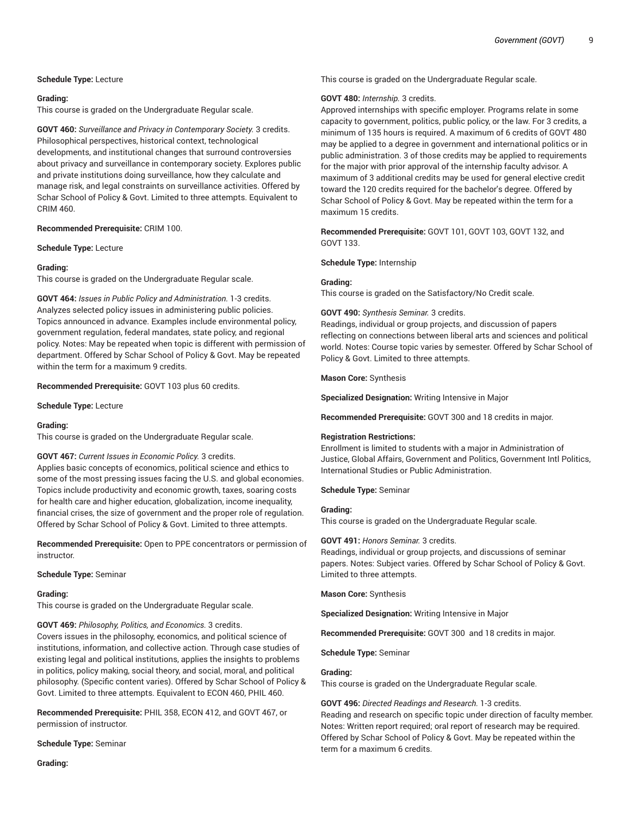## **Schedule Type:** Lecture

## **Grading:**

This course is graded on the Undergraduate Regular scale.

**GOVT 460:** *Surveillance and Privacy in Contemporary Society.* 3 credits. Philosophical perspectives, historical context, technological developments, and institutional changes that surround controversies about privacy and surveillance in contemporary society. Explores public and private institutions doing surveillance, how they calculate and manage risk, and legal constraints on surveillance activities. Offered by Schar School of Policy & Govt. Limited to three attempts. Equivalent to CRIM 460.

**Recommended Prerequisite:** CRIM 100.

**Schedule Type:** Lecture

#### **Grading:**

This course is graded on the Undergraduate Regular scale.

**GOVT 464:** *Issues in Public Policy and Administration.* 1-3 credits. Analyzes selected policy issues in administering public policies. Topics announced in advance. Examples include environmental policy, government regulation, federal mandates, state policy, and regional policy. Notes: May be repeated when topic is different with permission of department. Offered by Schar School of Policy & Govt. May be repeated within the term for a maximum 9 credits.

**Recommended Prerequisite:** GOVT 103 plus 60 credits.

**Schedule Type:** Lecture

## **Grading:**

This course is graded on the Undergraduate Regular scale.

## **GOVT 467:** *Current Issues in Economic Policy.* 3 credits.

Applies basic concepts of economics, political science and ethics to some of the most pressing issues facing the U.S. and global economies. Topics include productivity and economic growth, taxes, soaring costs for health care and higher education, globalization, income inequality, financial crises, the size of government and the proper role of regulation. Offered by Schar School of Policy & Govt. Limited to three attempts.

**Recommended Prerequisite:** Open to PPE concentrators or permission of instructor.

**Schedule Type:** Seminar

## **Grading:**

This course is graded on the Undergraduate Regular scale.

**GOVT 469:** *Philosophy, Politics, and Economics.* 3 credits.

Covers issues in the philosophy, economics, and political science of institutions, information, and collective action. Through case studies of existing legal and political institutions, applies the insights to problems in politics, policy making, social theory, and social, moral, and political philosophy. (Specific content varies). Offered by Schar School of Policy & Govt. Limited to three attempts. Equivalent to ECON 460, PHIL 460.

**Recommended Prerequisite:** PHIL 358, ECON 412, and GOVT 467, or permission of instructor.

**Schedule Type:** Seminar

**Grading:**

This course is graded on the Undergraduate Regular scale.

#### **GOVT 480:** *Internship.* 3 credits.

Approved internships with specific employer. Programs relate in some capacity to government, politics, public policy, or the law. For 3 credits, a minimum of 135 hours is required. A maximum of 6 credits of GOVT 480 may be applied to a degree in government and international politics or in public administration. 3 of those credits may be applied to requirements for the major with prior approval of the internship faculty advisor. A maximum of 3 additional credits may be used for general elective credit toward the 120 credits required for the bachelor's degree. Offered by Schar School of Policy & Govt. May be repeated within the term for a maximum 15 credits.

**Recommended Prerequisite:** GOVT 101, GOVT 103, GOVT 132, and GOVT 133.

**Schedule Type:** Internship

## **Grading:**

This course is graded on the Satisfactory/No Credit scale.

**GOVT 490:** *Synthesis Seminar.* 3 credits.

Readings, individual or group projects, and discussion of papers reflecting on connections between liberal arts and sciences and political world. Notes: Course topic varies by semester. Offered by Schar School of Policy & Govt. Limited to three attempts.

**Mason Core:** Synthesis

**Specialized Designation:** Writing Intensive in Major

**Recommended Prerequisite:** GOVT 300 and 18 credits in major.

## **Registration Restrictions:**

Enrollment is limited to students with a major in Administration of Justice, Global Affairs, Government and Politics, Government Intl Politics, International Studies or Public Administration.

**Schedule Type:** Seminar

## **Grading:**

This course is graded on the Undergraduate Regular scale.

## **GOVT 491:** *Honors Seminar.* 3 credits.

Readings, individual or group projects, and discussions of seminar papers. Notes: Subject varies. Offered by Schar School of Policy & Govt. Limited to three attempts.

**Mason Core:** Synthesis

**Specialized Designation:** Writing Intensive in Major

**Recommended Prerequisite:** GOVT 300 and 18 credits in major.

**Schedule Type:** Seminar

## **Grading:**

This course is graded on the Undergraduate Regular scale.

**GOVT 496:** *Directed Readings and Research.* 1-3 credits. Reading and research on specific topic under direction of faculty member. Notes: Written report required; oral report of research may be required. Offered by Schar School of Policy & Govt. May be repeated within the term for a maximum 6 credits.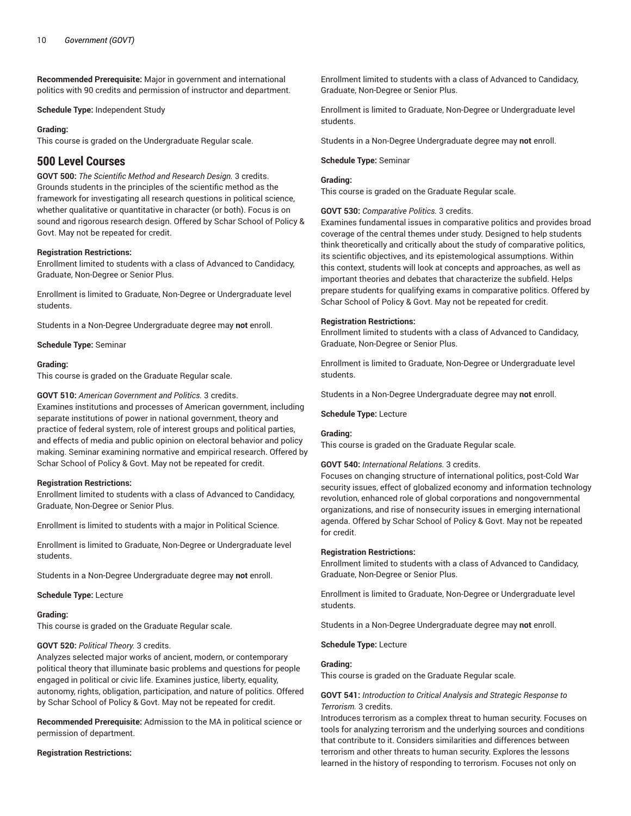**Recommended Prerequisite:** Major in government and international politics with 90 credits and permission of instructor and department.

**Schedule Type:** Independent Study

## **Grading:**

This course is graded on the Undergraduate Regular scale.

# **500 Level Courses**

**GOVT 500:** *The Scientific Method and Research Design.* 3 credits. Grounds students in the principles of the scientific method as the framework for investigating all research questions in political science, whether qualitative or quantitative in character (or both). Focus is on sound and rigorous research design. Offered by Schar School of Policy & Govt. May not be repeated for credit.

## **Registration Restrictions:**

Enrollment limited to students with a class of Advanced to Candidacy, Graduate, Non-Degree or Senior Plus.

Enrollment is limited to Graduate, Non-Degree or Undergraduate level students.

Students in a Non-Degree Undergraduate degree may **not** enroll.

**Schedule Type:** Seminar

## **Grading:**

This course is graded on the Graduate Regular scale.

## **GOVT 510:** *American Government and Politics.* 3 credits.

Examines institutions and processes of American government, including separate institutions of power in national government, theory and practice of federal system, role of interest groups and political parties, and effects of media and public opinion on electoral behavior and policy making. Seminar examining normative and empirical research. Offered by Schar School of Policy & Govt. May not be repeated for credit.

## **Registration Restrictions:**

Enrollment limited to students with a class of Advanced to Candidacy, Graduate, Non-Degree or Senior Plus.

Enrollment is limited to students with a major in Political Science.

Enrollment is limited to Graduate, Non-Degree or Undergraduate level students.

Students in a Non-Degree Undergraduate degree may **not** enroll.

**Schedule Type:** Lecture

## **Grading:**

This course is graded on the Graduate Regular scale.

## **GOVT 520:** *Political Theory.* 3 credits.

Analyzes selected major works of ancient, modern, or contemporary political theory that illuminate basic problems and questions for people engaged in political or civic life. Examines justice, liberty, equality, autonomy, rights, obligation, participation, and nature of politics. Offered by Schar School of Policy & Govt. May not be repeated for credit.

**Recommended Prerequisite:** Admission to the MA in political science or permission of department.

## **Registration Restrictions:**

Enrollment limited to students with a class of Advanced to Candidacy, Graduate, Non-Degree or Senior Plus.

Enrollment is limited to Graduate, Non-Degree or Undergraduate level students.

Students in a Non-Degree Undergraduate degree may **not** enroll.

#### **Schedule Type:** Seminar

## **Grading:**

This course is graded on the Graduate Regular scale.

## **GOVT 530:** *Comparative Politics.* 3 credits.

Examines fundamental issues in comparative politics and provides broad coverage of the central themes under study. Designed to help students think theoretically and critically about the study of comparative politics, its scientific objectives, and its epistemological assumptions. Within this context, students will look at concepts and approaches, as well as important theories and debates that characterize the subfield. Helps prepare students for qualifying exams in comparative politics. Offered by Schar School of Policy & Govt. May not be repeated for credit.

## **Registration Restrictions:**

Enrollment limited to students with a class of Advanced to Candidacy, Graduate, Non-Degree or Senior Plus.

Enrollment is limited to Graduate, Non-Degree or Undergraduate level students.

Students in a Non-Degree Undergraduate degree may **not** enroll.

## **Schedule Type:** Lecture

## **Grading:**

This course is graded on the Graduate Regular scale.

## **GOVT 540:** *International Relations.* 3 credits.

Focuses on changing structure of international politics, post-Cold War security issues, effect of globalized economy and information technology revolution, enhanced role of global corporations and nongovernmental organizations, and rise of nonsecurity issues in emerging international agenda. Offered by Schar School of Policy & Govt. May not be repeated for credit.

#### **Registration Restrictions:**

Enrollment limited to students with a class of Advanced to Candidacy, Graduate, Non-Degree or Senior Plus.

Enrollment is limited to Graduate, Non-Degree or Undergraduate level students.

Students in a Non-Degree Undergraduate degree may **not** enroll.

#### **Schedule Type:** Lecture

## **Grading:**

This course is graded on the Graduate Regular scale.

#### **GOVT 541:** *Introduction to Critical Analysis and Strategic Response to Terrorism.* 3 credits.

Introduces terrorism as a complex threat to human security. Focuses on tools for analyzing terrorism and the underlying sources and conditions that contribute to it. Considers similarities and differences between terrorism and other threats to human security. Explores the lessons learned in the history of responding to terrorism. Focuses not only on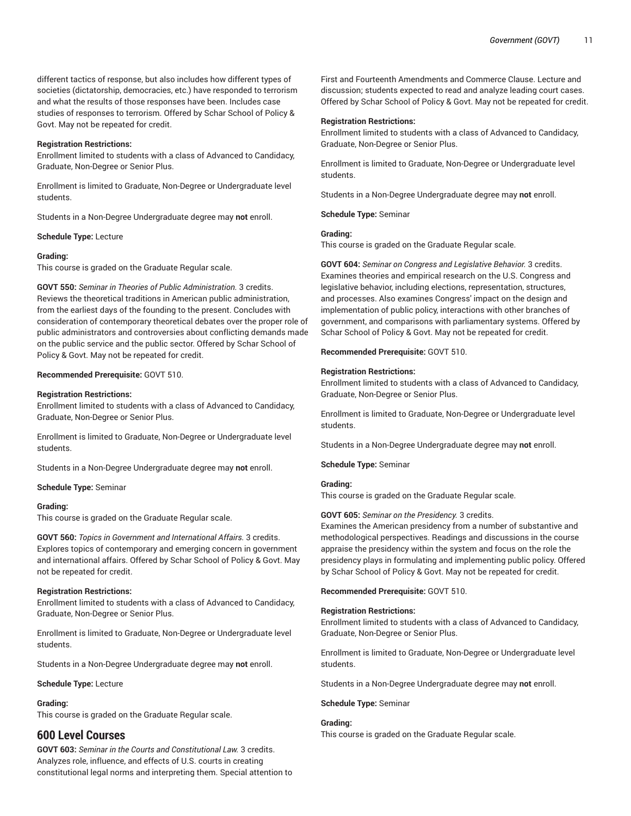different tactics of response, but also includes how different types of societies (dictatorship, democracies, etc.) have responded to terrorism and what the results of those responses have been. Includes case studies of responses to terrorism. Offered by Schar School of Policy & Govt. May not be repeated for credit.

## **Registration Restrictions:**

Enrollment limited to students with a class of Advanced to Candidacy, Graduate, Non-Degree or Senior Plus.

Enrollment is limited to Graduate, Non-Degree or Undergraduate level students.

Students in a Non-Degree Undergraduate degree may **not** enroll.

## **Schedule Type:** Lecture

## **Grading:**

This course is graded on the Graduate Regular scale.

**GOVT 550:** *Seminar in Theories of Public Administration.* 3 credits. Reviews the theoretical traditions in American public administration, from the earliest days of the founding to the present. Concludes with consideration of contemporary theoretical debates over the proper role of public administrators and controversies about conflicting demands made on the public service and the public sector. Offered by Schar School of Policy & Govt. May not be repeated for credit.

## **Recommended Prerequisite:** GOVT 510.

## **Registration Restrictions:**

Enrollment limited to students with a class of Advanced to Candidacy, Graduate, Non-Degree or Senior Plus.

Enrollment is limited to Graduate, Non-Degree or Undergraduate level students.

Students in a Non-Degree Undergraduate degree may **not** enroll.

**Schedule Type:** Seminar

## **Grading:**

This course is graded on the Graduate Regular scale.

**GOVT 560:** *Topics in Government and International Affairs.* 3 credits. Explores topics of contemporary and emerging concern in government and international affairs. Offered by Schar School of Policy & Govt. May not be repeated for credit.

## **Registration Restrictions:**

Enrollment limited to students with a class of Advanced to Candidacy, Graduate, Non-Degree or Senior Plus.

Enrollment is limited to Graduate, Non-Degree or Undergraduate level students.

Students in a Non-Degree Undergraduate degree may **not** enroll.

## **Schedule Type:** Lecture

## **Grading:**

This course is graded on the Graduate Regular scale.

# **600 Level Courses**

**GOVT 603:** *Seminar in the Courts and Constitutional Law.* 3 credits. Analyzes role, influence, and effects of U.S. courts in creating constitutional legal norms and interpreting them. Special attention to

First and Fourteenth Amendments and Commerce Clause. Lecture and discussion; students expected to read and analyze leading court cases. Offered by Schar School of Policy & Govt. May not be repeated for credit.

## **Registration Restrictions:**

Enrollment limited to students with a class of Advanced to Candidacy, Graduate, Non-Degree or Senior Plus.

Enrollment is limited to Graduate, Non-Degree or Undergraduate level students.

Students in a Non-Degree Undergraduate degree may **not** enroll.

**Schedule Type:** Seminar

#### **Grading:**

This course is graded on the Graduate Regular scale.

**GOVT 604:** *Seminar on Congress and Legislative Behavior.* 3 credits. Examines theories and empirical research on the U.S. Congress and legislative behavior, including elections, representation, structures, and processes. Also examines Congress' impact on the design and implementation of public policy, interactions with other branches of government, and comparisons with parliamentary systems. Offered by Schar School of Policy & Govt. May not be repeated for credit.

**Recommended Prerequisite:** GOVT 510.

#### **Registration Restrictions:**

Enrollment limited to students with a class of Advanced to Candidacy, Graduate, Non-Degree or Senior Plus.

Enrollment is limited to Graduate, Non-Degree or Undergraduate level students.

Students in a Non-Degree Undergraduate degree may **not** enroll.

**Schedule Type:** Seminar

## **Grading:**

This course is graded on the Graduate Regular scale.

## **GOVT 605:** *Seminar on the Presidency.* 3 credits.

Examines the American presidency from a number of substantive and methodological perspectives. Readings and discussions in the course appraise the presidency within the system and focus on the role the presidency plays in formulating and implementing public policy. Offered by Schar School of Policy & Govt. May not be repeated for credit.

**Recommended Prerequisite:** GOVT 510.

## **Registration Restrictions:**

Enrollment limited to students with a class of Advanced to Candidacy, Graduate, Non-Degree or Senior Plus.

Enrollment is limited to Graduate, Non-Degree or Undergraduate level students.

Students in a Non-Degree Undergraduate degree may **not** enroll.

**Schedule Type:** Seminar

## **Grading:**

This course is graded on the Graduate Regular scale.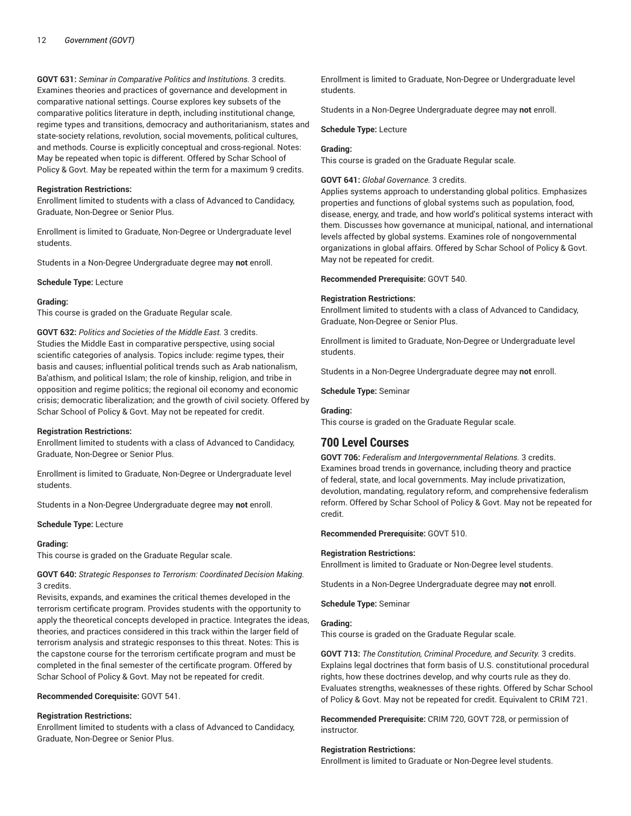**GOVT 631:** *Seminar in Comparative Politics and Institutions.* 3 credits. Examines theories and practices of governance and development in comparative national settings. Course explores key subsets of the comparative politics literature in depth, including institutional change, regime types and transitions, democracy and authoritarianism, states and state-society relations, revolution, social movements, political cultures, and methods. Course is explicitly conceptual and cross-regional. Notes: May be repeated when topic is different. Offered by Schar School of Policy & Govt. May be repeated within the term for a maximum 9 credits.

## **Registration Restrictions:**

Enrollment limited to students with a class of Advanced to Candidacy, Graduate, Non-Degree or Senior Plus.

Enrollment is limited to Graduate, Non-Degree or Undergraduate level students.

Students in a Non-Degree Undergraduate degree may **not** enroll.

**Schedule Type:** Lecture

#### **Grading:**

This course is graded on the Graduate Regular scale.

**GOVT 632:** *Politics and Societies of the Middle East.* 3 credits. Studies the Middle East in comparative perspective, using social scientific categories of analysis. Topics include: regime types, their basis and causes; influential political trends such as Arab nationalism, Ba'athism, and political Islam; the role of kinship, religion, and tribe in opposition and regime politics; the regional oil economy and economic crisis; democratic liberalization; and the growth of civil society. Offered by Schar School of Policy & Govt. May not be repeated for credit.

## **Registration Restrictions:**

Enrollment limited to students with a class of Advanced to Candidacy, Graduate, Non-Degree or Senior Plus.

Enrollment is limited to Graduate, Non-Degree or Undergraduate level students.

Students in a Non-Degree Undergraduate degree may **not** enroll.

#### **Schedule Type:** Lecture

## **Grading:**

This course is graded on the Graduate Regular scale.

**GOVT 640:** *Strategic Responses to Terrorism: Coordinated Decision Making.* 3 credits.

Revisits, expands, and examines the critical themes developed in the terrorism certificate program. Provides students with the opportunity to apply the theoretical concepts developed in practice. Integrates the ideas, theories, and practices considered in this track within the larger field of terrorism analysis and strategic responses to this threat. Notes: This is the capstone course for the terrorism certificate program and must be completed in the final semester of the certificate program. Offered by Schar School of Policy & Govt. May not be repeated for credit.

**Recommended Corequisite:** GOVT 541.

## **Registration Restrictions:**

Enrollment limited to students with a class of Advanced to Candidacy, Graduate, Non-Degree or Senior Plus.

Enrollment is limited to Graduate, Non-Degree or Undergraduate level students.

Students in a Non-Degree Undergraduate degree may **not** enroll.

#### **Schedule Type:** Lecture

## **Grading:**

This course is graded on the Graduate Regular scale.

## **GOVT 641:** *Global Governance.* 3 credits.

Applies systems approach to understanding global politics. Emphasizes properties and functions of global systems such as population, food, disease, energy, and trade, and how world's political systems interact with them. Discusses how governance at municipal, national, and international levels affected by global systems. Examines role of nongovernmental organizations in global affairs. Offered by Schar School of Policy & Govt. May not be repeated for credit.

**Recommended Prerequisite:** GOVT 540.

#### **Registration Restrictions:**

Enrollment limited to students with a class of Advanced to Candidacy, Graduate, Non-Degree or Senior Plus.

Enrollment is limited to Graduate, Non-Degree or Undergraduate level students.

Students in a Non-Degree Undergraduate degree may **not** enroll.

**Schedule Type:** Seminar

#### **Grading:**

This course is graded on the Graduate Regular scale.

# **700 Level Courses**

**GOVT 706:** *Federalism and Intergovernmental Relations.* 3 credits. Examines broad trends in governance, including theory and practice of federal, state, and local governments. May include privatization, devolution, mandating, regulatory reform, and comprehensive federalism reform. Offered by Schar School of Policy & Govt. May not be repeated for credit.

## **Recommended Prerequisite:** GOVT 510.

#### **Registration Restrictions:**

Enrollment is limited to Graduate or Non-Degree level students.

Students in a Non-Degree Undergraduate degree may **not** enroll.

**Schedule Type:** Seminar

#### **Grading:**

This course is graded on the Graduate Regular scale.

**GOVT 713:** *The Constitution, Criminal Procedure, and Security.* 3 credits. Explains legal doctrines that form basis of U.S. constitutional procedural rights, how these doctrines develop, and why courts rule as they do. Evaluates strengths, weaknesses of these rights. Offered by Schar School of Policy & Govt. May not be repeated for credit. Equivalent to CRIM 721.

**Recommended Prerequisite:** CRIM 720, GOVT 728, or permission of instructor.

## **Registration Restrictions:**

Enrollment is limited to Graduate or Non-Degree level students.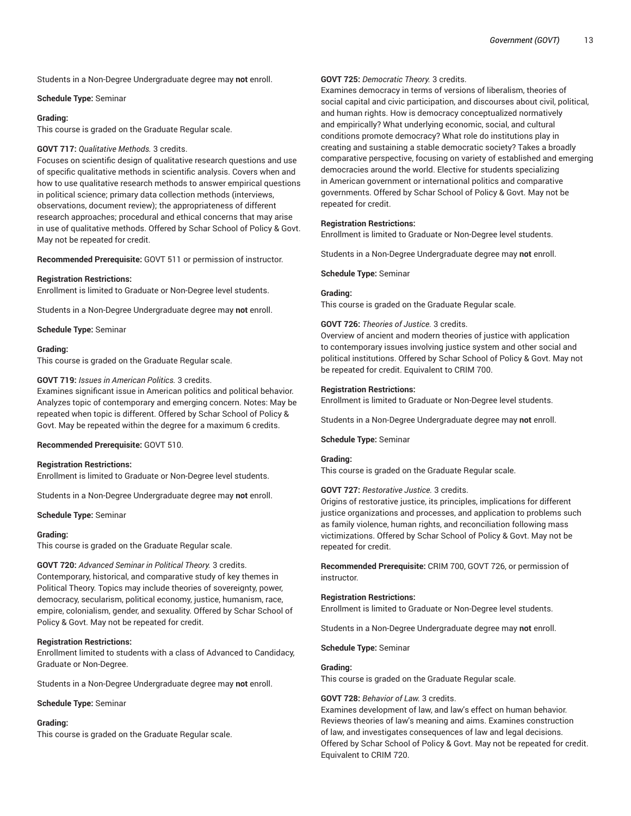Students in a Non-Degree Undergraduate degree may **not** enroll.

#### **Schedule Type:** Seminar

#### **Grading:**

This course is graded on the Graduate Regular scale.

#### **GOVT 717:** *Qualitative Methods.* 3 credits.

Focuses on scientific design of qualitative research questions and use of specific qualitative methods in scientific analysis. Covers when and how to use qualitative research methods to answer empirical questions in political science; primary data collection methods (interviews, observations, document review); the appropriateness of different research approaches; procedural and ethical concerns that may arise in use of qualitative methods. Offered by Schar School of Policy & Govt. May not be repeated for credit.

**Recommended Prerequisite:** GOVT 511 or permission of instructor.

## **Registration Restrictions:**

Enrollment is limited to Graduate or Non-Degree level students.

Students in a Non-Degree Undergraduate degree may **not** enroll.

**Schedule Type:** Seminar

## **Grading:**

This course is graded on the Graduate Regular scale.

#### **GOVT 719:** *Issues in American Politics.* 3 credits.

Examines significant issue in American politics and political behavior. Analyzes topic of contemporary and emerging concern. Notes: May be repeated when topic is different. Offered by Schar School of Policy & Govt. May be repeated within the degree for a maximum 6 credits.

**Recommended Prerequisite:** GOVT 510.

#### **Registration Restrictions:**

Enrollment is limited to Graduate or Non-Degree level students.

Students in a Non-Degree Undergraduate degree may **not** enroll.

**Schedule Type:** Seminar

#### **Grading:**

This course is graded on the Graduate Regular scale.

**GOVT 720:** *Advanced Seminar in Political Theory.* 3 credits. Contemporary, historical, and comparative study of key themes in Political Theory. Topics may include theories of sovereignty, power, democracy, secularism, political economy, justice, humanism, race, empire, colonialism, gender, and sexuality. Offered by Schar School of Policy & Govt. May not be repeated for credit.

## **Registration Restrictions:**

Enrollment limited to students with a class of Advanced to Candidacy, Graduate or Non-Degree.

Students in a Non-Degree Undergraduate degree may **not** enroll.

**Schedule Type:** Seminar

#### **Grading:**

This course is graded on the Graduate Regular scale.

## **GOVT 725:** *Democratic Theory.* 3 credits.

Examines democracy in terms of versions of liberalism, theories of social capital and civic participation, and discourses about civil, political, and human rights. How is democracy conceptualized normatively and empirically? What underlying economic, social, and cultural conditions promote democracy? What role do institutions play in creating and sustaining a stable democratic society? Takes a broadly comparative perspective, focusing on variety of established and emerging democracies around the world. Elective for students specializing in American government or international politics and comparative governments. Offered by Schar School of Policy & Govt. May not be repeated for credit.

## **Registration Restrictions:**

Enrollment is limited to Graduate or Non-Degree level students.

Students in a Non-Degree Undergraduate degree may **not** enroll.

#### **Schedule Type:** Seminar

## **Grading:**

This course is graded on the Graduate Regular scale.

#### **GOVT 726:** *Theories of Justice.* 3 credits.

Overview of ancient and modern theories of justice with application to contemporary issues involving justice system and other social and political institutions. Offered by Schar School of Policy & Govt. May not be repeated for credit. Equivalent to CRIM 700.

#### **Registration Restrictions:**

Enrollment is limited to Graduate or Non-Degree level students.

Students in a Non-Degree Undergraduate degree may **not** enroll.

#### **Schedule Type:** Seminar

## **Grading:**

This course is graded on the Graduate Regular scale.

## **GOVT 727:** *Restorative Justice.* 3 credits.

Origins of restorative justice, its principles, implications for different justice organizations and processes, and application to problems such as family violence, human rights, and reconciliation following mass victimizations. Offered by Schar School of Policy & Govt. May not be repeated for credit.

**Recommended Prerequisite:** CRIM 700, GOVT 726, or permission of instructor.

## **Registration Restrictions:**

Enrollment is limited to Graduate or Non-Degree level students.

Students in a Non-Degree Undergraduate degree may **not** enroll.

**Schedule Type:** Seminar

#### **Grading:**

This course is graded on the Graduate Regular scale.

## **GOVT 728:** *Behavior of Law.* 3 credits.

Examines development of law, and law's effect on human behavior. Reviews theories of law's meaning and aims. Examines construction of law, and investigates consequences of law and legal decisions. Offered by Schar School of Policy & Govt. May not be repeated for credit. Equivalent to CRIM 720.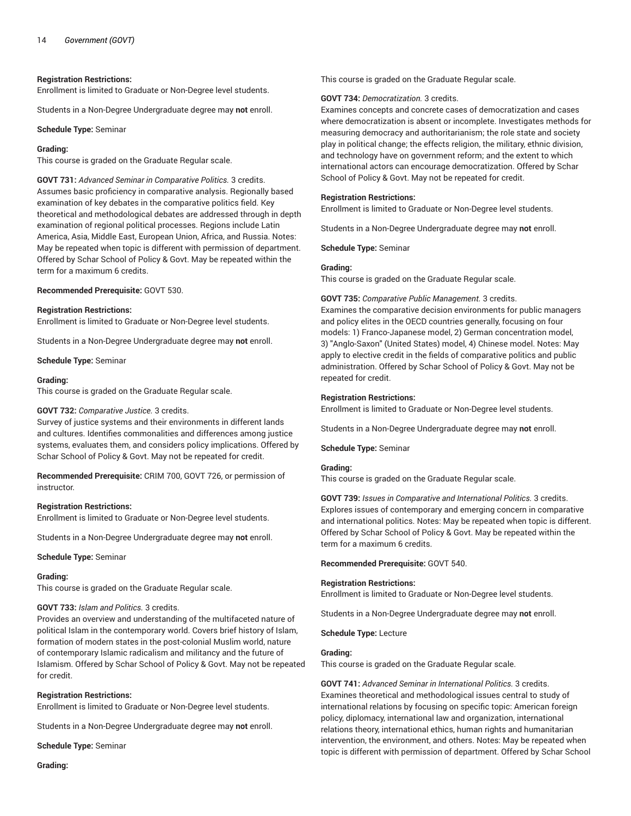#### **Registration Restrictions:**

Enrollment is limited to Graduate or Non-Degree level students.

Students in a Non-Degree Undergraduate degree may **not** enroll.

#### **Schedule Type:** Seminar

#### **Grading:**

This course is graded on the Graduate Regular scale.

**GOVT 731:** *Advanced Seminar in Comparative Politics.* 3 credits. Assumes basic proficiency in comparative analysis. Regionally based examination of key debates in the comparative politics field. Key theoretical and methodological debates are addressed through in depth examination of regional political processes. Regions include Latin America, Asia, Middle East, European Union, Africa, and Russia. Notes: May be repeated when topic is different with permission of department. Offered by Schar School of Policy & Govt. May be repeated within the term for a maximum 6 credits.

**Recommended Prerequisite:** GOVT 530.

#### **Registration Restrictions:**

Enrollment is limited to Graduate or Non-Degree level students.

Students in a Non-Degree Undergraduate degree may **not** enroll.

**Schedule Type:** Seminar

#### **Grading:**

This course is graded on the Graduate Regular scale.

#### **GOVT 732:** *Comparative Justice.* 3 credits.

Survey of justice systems and their environments in different lands and cultures. Identifies commonalities and differences among justice systems, evaluates them, and considers policy implications. Offered by Schar School of Policy & Govt. May not be repeated for credit.

**Recommended Prerequisite:** CRIM 700, GOVT 726, or permission of instructor.

#### **Registration Restrictions:**

Enrollment is limited to Graduate or Non-Degree level students.

Students in a Non-Degree Undergraduate degree may **not** enroll.

**Schedule Type:** Seminar

#### **Grading:**

This course is graded on the Graduate Regular scale.

## **GOVT 733:** *Islam and Politics.* 3 credits.

Provides an overview and understanding of the multifaceted nature of political Islam in the contemporary world. Covers brief history of Islam, formation of modern states in the post-colonial Muslim world, nature of contemporary Islamic radicalism and militancy and the future of Islamism. Offered by Schar School of Policy & Govt. May not be repeated for credit.

#### **Registration Restrictions:**

Enrollment is limited to Graduate or Non-Degree level students.

Students in a Non-Degree Undergraduate degree may **not** enroll.

**Schedule Type:** Seminar

**Grading:**

This course is graded on the Graduate Regular scale.

#### **GOVT 734:** *Democratization.* 3 credits.

Examines concepts and concrete cases of democratization and cases where democratization is absent or incomplete. Investigates methods for measuring democracy and authoritarianism; the role state and society play in political change; the effects religion, the military, ethnic division, and technology have on government reform; and the extent to which international actors can encourage democratization. Offered by Schar School of Policy & Govt. May not be repeated for credit.

#### **Registration Restrictions:**

Enrollment is limited to Graduate or Non-Degree level students.

Students in a Non-Degree Undergraduate degree may **not** enroll.

**Schedule Type:** Seminar

#### **Grading:**

This course is graded on the Graduate Regular scale.

**GOVT 735:** *Comparative Public Management.* 3 credits.

Examines the comparative decision environments for public managers and policy elites in the OECD countries generally, focusing on four models: 1) Franco-Japanese model, 2) German concentration model, 3) "Anglo-Saxon" (United States) model, 4) Chinese model. Notes: May apply to elective credit in the fields of comparative politics and public administration. Offered by Schar School of Policy & Govt. May not be repeated for credit.

#### **Registration Restrictions:**

Enrollment is limited to Graduate or Non-Degree level students.

Students in a Non-Degree Undergraduate degree may **not** enroll.

**Schedule Type:** Seminar

#### **Grading:**

This course is graded on the Graduate Regular scale.

**GOVT 739:** *Issues in Comparative and International Politics.* 3 credits. Explores issues of contemporary and emerging concern in comparative and international politics. Notes: May be repeated when topic is different. Offered by Schar School of Policy & Govt. May be repeated within the term for a maximum 6 credits.

**Recommended Prerequisite:** GOVT 540.

#### **Registration Restrictions:**

Enrollment is limited to Graduate or Non-Degree level students.

Students in a Non-Degree Undergraduate degree may **not** enroll.

**Schedule Type:** Lecture

#### **Grading:**

This course is graded on the Graduate Regular scale.

**GOVT 741:** *Advanced Seminar in International Politics.* 3 credits. Examines theoretical and methodological issues central to study of international relations by focusing on specific topic: American foreign policy, diplomacy, international law and organization, international relations theory, international ethics, human rights and humanitarian intervention, the environment, and others. Notes: May be repeated when topic is different with permission of department. Offered by Schar School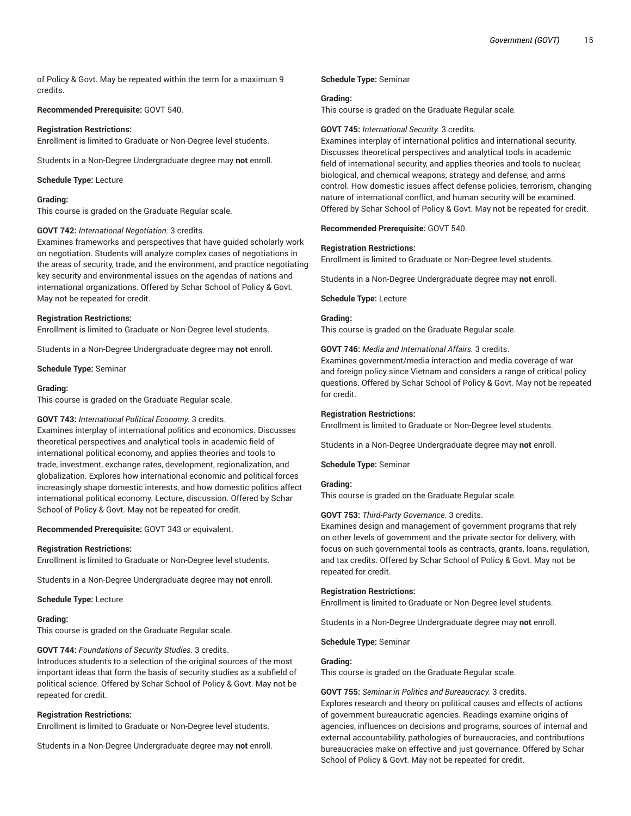of Policy & Govt. May be repeated within the term for a maximum 9 credits.

## **Recommended Prerequisite:** GOVT 540.

#### **Registration Restrictions:**

Enrollment is limited to Graduate or Non-Degree level students.

Students in a Non-Degree Undergraduate degree may **not** enroll.

#### **Schedule Type:** Lecture

#### **Grading:**

This course is graded on the Graduate Regular scale.

#### **GOVT 742:** *International Negotiation.* 3 credits.

Examines frameworks and perspectives that have guided scholarly work on negotiation. Students will analyze complex cases of negotiations in the areas of security, trade, and the environment, and practice negotiating key security and environmental issues on the agendas of nations and international organizations. Offered by Schar School of Policy & Govt. May not be repeated for credit.

#### **Registration Restrictions:**

Enrollment is limited to Graduate or Non-Degree level students.

Students in a Non-Degree Undergraduate degree may **not** enroll.

**Schedule Type:** Seminar

#### **Grading:**

This course is graded on the Graduate Regular scale.

## **GOVT 743:** *International Political Economy.* 3 credits.

Examines interplay of international politics and economics. Discusses theoretical perspectives and analytical tools in academic field of international political economy, and applies theories and tools to trade, investment, exchange rates, development, regionalization, and globalization. Explores how international economic and political forces increasingly shape domestic interests, and how domestic politics affect international political economy. Lecture, discussion. Offered by Schar School of Policy & Govt. May not be repeated for credit.

**Recommended Prerequisite:** GOVT 343 or equivalent.

## **Registration Restrictions:**

Enrollment is limited to Graduate or Non-Degree level students.

Students in a Non-Degree Undergraduate degree may **not** enroll.

**Schedule Type:** Lecture

## **Grading:**

This course is graded on the Graduate Regular scale.

## **GOVT 744:** *Foundations of Security Studies.* 3 credits.

Introduces students to a selection of the original sources of the most important ideas that form the basis of security studies as a subfield of political science. Offered by Schar School of Policy & Govt. May not be repeated for credit.

## **Registration Restrictions:**

Enrollment is limited to Graduate or Non-Degree level students.

Students in a Non-Degree Undergraduate degree may **not** enroll.

#### **Schedule Type:** Seminar

#### **Grading:**

This course is graded on the Graduate Regular scale.

#### **GOVT 745:** *International Security.* 3 credits.

Examines interplay of international politics and international security. Discusses theoretical perspectives and analytical tools in academic field of international security, and applies theories and tools to nuclear, biological, and chemical weapons, strategy and defense, and arms control. How domestic issues affect defense policies, terrorism, changing nature of international conflict, and human security will be examined. Offered by Schar School of Policy & Govt. May not be repeated for credit.

**Recommended Prerequisite:** GOVT 540.

#### **Registration Restrictions:**

Enrollment is limited to Graduate or Non-Degree level students.

Students in a Non-Degree Undergraduate degree may **not** enroll.

**Schedule Type:** Lecture

#### **Grading:**

This course is graded on the Graduate Regular scale.

**GOVT 746:** *Media and International Affairs.* 3 credits.

Examines government/media interaction and media coverage of war and foreign policy since Vietnam and considers a range of critical policy questions. Offered by Schar School of Policy & Govt. May not be repeated for credit.

## **Registration Restrictions:**

Enrollment is limited to Graduate or Non-Degree level students.

Students in a Non-Degree Undergraduate degree may **not** enroll.

**Schedule Type:** Seminar

## **Grading:**

This course is graded on the Graduate Regular scale.

## **GOVT 753:** *Third-Party Governance.* 3 credits.

Examines design and management of government programs that rely on other levels of government and the private sector for delivery, with focus on such governmental tools as contracts, grants, loans, regulation, and tax credits. Offered by Schar School of Policy & Govt. May not be repeated for credit.

#### **Registration Restrictions:**

Enrollment is limited to Graduate or Non-Degree level students.

Students in a Non-Degree Undergraduate degree may **not** enroll.

**Schedule Type:** Seminar

#### **Grading:**

This course is graded on the Graduate Regular scale.

#### **GOVT 755:** *Seminar in Politics and Bureaucracy.* 3 credits.

Explores research and theory on political causes and effects of actions of government bureaucratic agencies. Readings examine origins of agencies, influences on decisions and programs, sources of internal and external accountability, pathologies of bureaucracies, and contributions bureaucracies make on effective and just governance. Offered by Schar School of Policy & Govt. May not be repeated for credit.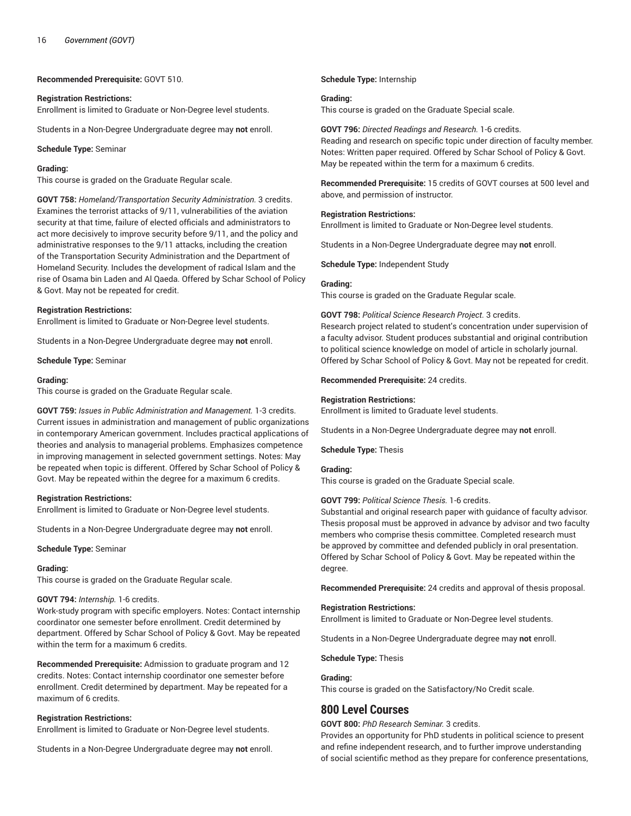**Recommended Prerequisite:** GOVT 510.

#### **Registration Restrictions:**

Enrollment is limited to Graduate or Non-Degree level students.

Students in a Non-Degree Undergraduate degree may **not** enroll.

**Schedule Type:** Seminar

#### **Grading:**

This course is graded on the Graduate Regular scale.

**GOVT 758:** *Homeland/Transportation Security Administration.* 3 credits. Examines the terrorist attacks of 9/11, vulnerabilities of the aviation security at that time, failure of elected officials and administrators to act more decisively to improve security before 9/11, and the policy and administrative responses to the 9/11 attacks, including the creation of the Transportation Security Administration and the Department of Homeland Security. Includes the development of radical Islam and the rise of Osama bin Laden and Al Qaeda. Offered by Schar School of Policy & Govt. May not be repeated for credit.

#### **Registration Restrictions:**

Enrollment is limited to Graduate or Non-Degree level students.

Students in a Non-Degree Undergraduate degree may **not** enroll.

**Schedule Type:** Seminar

#### **Grading:**

This course is graded on the Graduate Regular scale.

**GOVT 759:** *Issues in Public Administration and Management.* 1-3 credits. Current issues in administration and management of public organizations in contemporary American government. Includes practical applications of theories and analysis to managerial problems. Emphasizes competence in improving management in selected government settings. Notes: May be repeated when topic is different. Offered by Schar School of Policy & Govt. May be repeated within the degree for a maximum 6 credits.

#### **Registration Restrictions:**

Enrollment is limited to Graduate or Non-Degree level students.

Students in a Non-Degree Undergraduate degree may **not** enroll.

#### **Schedule Type:** Seminar

#### **Grading:**

This course is graded on the Graduate Regular scale.

#### **GOVT 794:** *Internship.* 1-6 credits.

Work-study program with specific employers. Notes: Contact internship coordinator one semester before enrollment. Credit determined by department. Offered by Schar School of Policy & Govt. May be repeated within the term for a maximum 6 credits.

**Recommended Prerequisite:** Admission to graduate program and 12 credits. Notes: Contact internship coordinator one semester before enrollment. Credit determined by department. May be repeated for a maximum of 6 credits.

#### **Registration Restrictions:**

Enrollment is limited to Graduate or Non-Degree level students.

Students in a Non-Degree Undergraduate degree may **not** enroll.

#### **Schedule Type:** Internship

#### **Grading:**

This course is graded on the Graduate Special scale.

## **GOVT 796:** *Directed Readings and Research.* 1-6 credits.

Reading and research on specific topic under direction of faculty member. Notes: Written paper required. Offered by Schar School of Policy & Govt. May be repeated within the term for a maximum 6 credits.

**Recommended Prerequisite:** 15 credits of GOVT courses at 500 level and above, and permission of instructor.

#### **Registration Restrictions:**

Enrollment is limited to Graduate or Non-Degree level students.

Students in a Non-Degree Undergraduate degree may **not** enroll.

**Schedule Type:** Independent Study

#### **Grading:**

This course is graded on the Graduate Regular scale.

#### **GOVT 798:** *Political Science Research Project.* 3 credits.

Research project related to student's concentration under supervision of a faculty advisor. Student produces substantial and original contribution to political science knowledge on model of article in scholarly journal. Offered by Schar School of Policy & Govt. May not be repeated for credit.

#### **Recommended Prerequisite:** 24 credits.

#### **Registration Restrictions:**

Enrollment is limited to Graduate level students.

Students in a Non-Degree Undergraduate degree may **not** enroll.

#### **Schedule Type:** Thesis

#### **Grading:**

This course is graded on the Graduate Special scale.

**GOVT 799:** *Political Science Thesis.* 1-6 credits.

Substantial and original research paper with guidance of faculty advisor. Thesis proposal must be approved in advance by advisor and two faculty members who comprise thesis committee. Completed research must be approved by committee and defended publicly in oral presentation. Offered by Schar School of Policy & Govt. May be repeated within the degree.

**Recommended Prerequisite:** 24 credits and approval of thesis proposal.

#### **Registration Restrictions:**

Enrollment is limited to Graduate or Non-Degree level students.

Students in a Non-Degree Undergraduate degree may **not** enroll.

**Schedule Type:** Thesis

#### **Grading:**

This course is graded on the Satisfactory/No Credit scale.

## **800 Level Courses**

#### **GOVT 800:** *PhD Research Seminar.* 3 credits.

Provides an opportunity for PhD students in political science to present and refine independent research, and to further improve understanding of social scientific method as they prepare for conference presentations,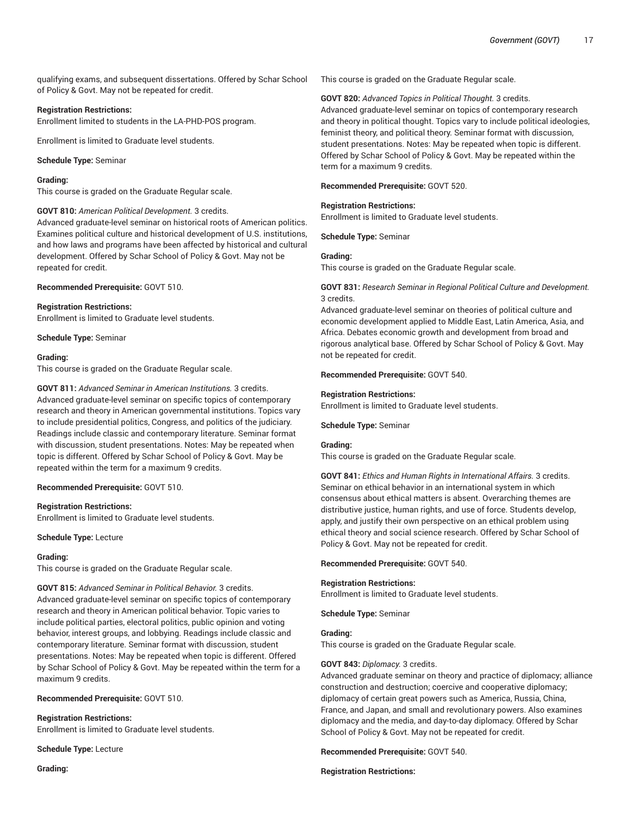qualifying exams, and subsequent dissertations. Offered by Schar School of Policy & Govt. May not be repeated for credit.

## **Registration Restrictions:**

Enrollment limited to students in the LA-PHD-POS program.

Enrollment is limited to Graduate level students.

#### **Schedule Type:** Seminar

## **Grading:**

This course is graded on the Graduate Regular scale.

## **GOVT 810:** *American Political Development.* 3 credits.

Advanced graduate-level seminar on historical roots of American politics. Examines political culture and historical development of U.S. institutions, and how laws and programs have been affected by historical and cultural development. Offered by Schar School of Policy & Govt. May not be repeated for credit.

**Recommended Prerequisite:** GOVT 510.

#### **Registration Restrictions:**

Enrollment is limited to Graduate level students.

**Schedule Type:** Seminar

## **Grading:**

This course is graded on the Graduate Regular scale.

**GOVT 811:** *Advanced Seminar in American Institutions.* 3 credits. Advanced graduate-level seminar on specific topics of contemporary research and theory in American governmental institutions. Topics vary to include presidential politics, Congress, and politics of the judiciary. Readings include classic and contemporary literature. Seminar format with discussion, student presentations. Notes: May be repeated when topic is different. Offered by Schar School of Policy & Govt. May be repeated within the term for a maximum 9 credits.

## **Recommended Prerequisite:** GOVT 510.

#### **Registration Restrictions:**

Enrollment is limited to Graduate level students.

**Schedule Type:** Lecture

#### **Grading:**

This course is graded on the Graduate Regular scale.

#### **GOVT 815:** *Advanced Seminar in Political Behavior.* 3 credits.

Advanced graduate-level seminar on specific topics of contemporary research and theory in American political behavior. Topic varies to include political parties, electoral politics, public opinion and voting behavior, interest groups, and lobbying. Readings include classic and contemporary literature. Seminar format with discussion, student presentations. Notes: May be repeated when topic is different. Offered by Schar School of Policy & Govt. May be repeated within the term for a maximum 9 credits.

## **Recommended Prerequisite:** GOVT 510.

## **Registration Restrictions:**

Enrollment is limited to Graduate level students.

**Schedule Type:** Lecture

**Grading:**

This course is graded on the Graduate Regular scale.

#### **GOVT 820:** *Advanced Topics in Political Thought.* 3 credits.

Advanced graduate-level seminar on topics of contemporary research and theory in political thought. Topics vary to include political ideologies, feminist theory, and political theory. Seminar format with discussion, student presentations. Notes: May be repeated when topic is different. Offered by Schar School of Policy & Govt. May be repeated within the term for a maximum 9 credits.

**Recommended Prerequisite:** GOVT 520.

#### **Registration Restrictions:**

Enrollment is limited to Graduate level students.

**Schedule Type:** Seminar

#### **Grading:**

This course is graded on the Graduate Regular scale.

**GOVT 831:** *Research Seminar in Regional Political Culture and Development.* 3 credits.

Advanced graduate-level seminar on theories of political culture and economic development applied to Middle East, Latin America, Asia, and Africa. Debates economic growth and development from broad and rigorous analytical base. Offered by Schar School of Policy & Govt. May not be repeated for credit.

**Recommended Prerequisite:** GOVT 540.

#### **Registration Restrictions:**

Enrollment is limited to Graduate level students.

#### **Schedule Type:** Seminar

#### **Grading:**

This course is graded on the Graduate Regular scale.

**GOVT 841:** *Ethics and Human Rights in International Affairs.* 3 credits. Seminar on ethical behavior in an international system in which consensus about ethical matters is absent. Overarching themes are distributive justice, human rights, and use of force. Students develop, apply, and justify their own perspective on an ethical problem using ethical theory and social science research. Offered by Schar School of Policy & Govt. May not be repeated for credit.

**Recommended Prerequisite:** GOVT 540.

#### **Registration Restrictions:**

Enrollment is limited to Graduate level students.

**Schedule Type:** Seminar

#### **Grading:**

This course is graded on the Graduate Regular scale.

## **GOVT 843:** *Diplomacy.* 3 credits.

Advanced graduate seminar on theory and practice of diplomacy; alliance construction and destruction; coercive and cooperative diplomacy; diplomacy of certain great powers such as America, Russia, China, France, and Japan, and small and revolutionary powers. Also examines diplomacy and the media, and day-to-day diplomacy. Offered by Schar School of Policy & Govt. May not be repeated for credit.

#### **Recommended Prerequisite:** GOVT 540.

**Registration Restrictions:**